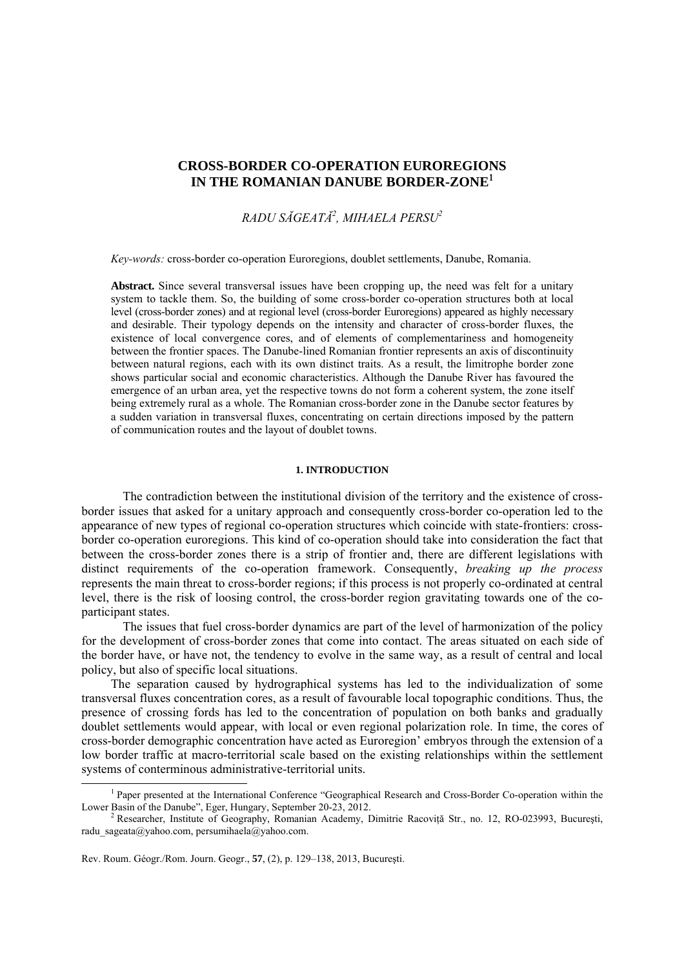## **CROSS-BORDER CO-OPERATION EUROREGIONS IN THE ROMANIAN DANUBE BORDER-ZONE**<sup>1</sup>

# *RADU SĂGEATĂ<sup>2</sup> , MIHAELA PERSU2*

*Key-words:* cross-border co-operation Euroregions, doublet settlements, Danube, Romania.

**Abstract.** Since several transversal issues have been cropping up, the need was felt for a unitary system to tackle them. So, the building of some cross-border co-operation structures both at local level (cross-border zones) and at regional level (cross-border Euroregions) appeared as highly necessary and desirable. Their typology depends on the intensity and character of cross-border fluxes, the existence of local convergence cores, and of elements of complementariness and homogeneity between the frontier spaces. The Danube-lined Romanian frontier represents an axis of discontinuity between natural regions, each with its own distinct traits. As a result, the limitrophe border zone shows particular social and economic characteristics. Although the Danube River has favoured the emergence of an urban area, yet the respective towns do not form a coherent system, the zone itself being extremely rural as a whole. The Romanian cross-border zone in the Danube sector features by a sudden variation in transversal fluxes, concentrating on certain directions imposed by the pattern of communication routes and the layout of doublet towns.

### **1. INTRODUCTION**

The contradiction between the institutional division of the territory and the existence of crossborder issues that asked for a unitary approach and consequently cross-border co-operation led to the appearance of new types of regional co-operation structures which coincide with state-frontiers: crossborder co-operation euroregions. This kind of co-operation should take into consideration the fact that between the cross-border zones there is a strip of frontier and, there are different legislations with distinct requirements of the co-operation framework. Consequently, *breaking up the process* represents the main threat to cross-border regions; if this process is not properly co-ordinated at central level, there is the risk of loosing control, the cross-border region gravitating towards one of the coparticipant states.

The issues that fuel cross-border dynamics are part of the level of harmonization of the policy for the development of cross-border zones that come into contact. The areas situated on each side of the border have, or have not, the tendency to evolve in the same way, as a result of central and local policy, but also of specific local situations.

The separation caused by hydrographical systems has led to the individualization of some transversal fluxes concentration cores, as a result of favourable local topographic conditions. Thus, the presence of crossing fords has led to the concentration of population on both banks and gradually doublet settlements would appear, with local or even regional polarization role. In time, the cores of cross-border demographic concentration have acted as Euroregion' embryos through the extension of a low border traffic at macro-territorial scale based on the existing relationships within the settlement systems of conterminous administrative-territorial units.

 $\overline{a}$ 

<sup>&</sup>lt;sup>1</sup> Paper presented at the International Conference "Geographical Research and Cross-Border Co-operation within the Lower Basin of the Danube", Eger, Hungary, September 20-23, 2012.

<sup>&</sup>lt;sup>2</sup> Researcher, Institute of Geography, Romanian Academy, Dimitrie Racovită Str., no. 12, RO-023993, București, radu\_sageata@yahoo.com, persumihaela@yahoo.com.

Rev. Roum. Géogr./Rom. Journ. Geogr., **57**, (2), p. 129–138, 2013, Bucureşti.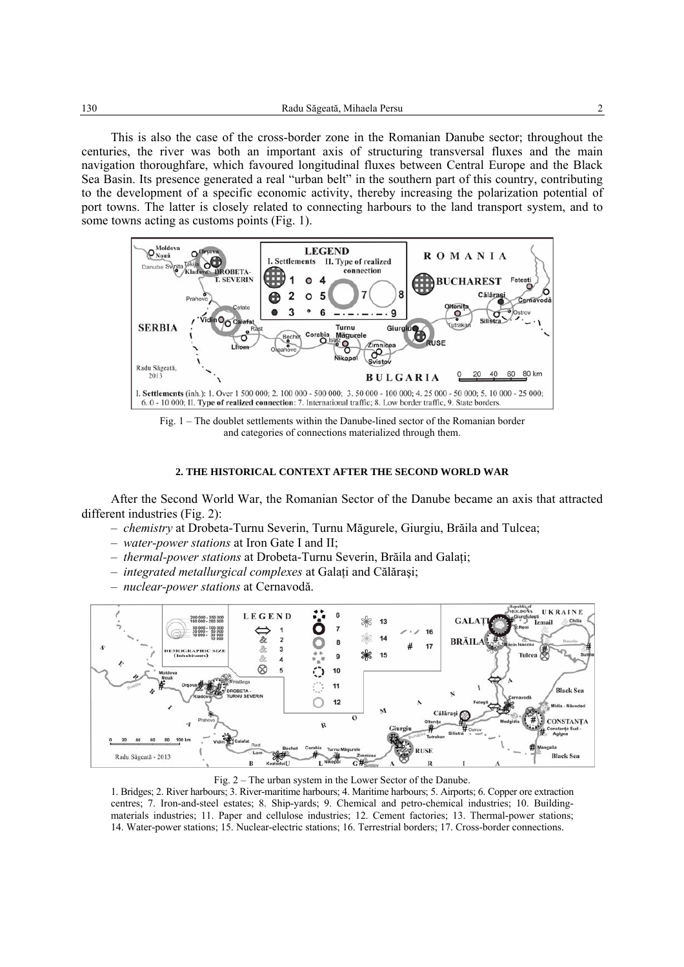This is also the case of the cross-border zone in the Romanian Danube sector; throughout the centuries, the river was both an important axis of structuring transversal fluxes and the main navigation thoroughfare, which favoured longitudinal fluxes between Central Europe and the Black Sea Basin. Its presence generated a real "urban belt" in the southern part of this country, contributing to the development of a specific economic activity, thereby increasing the polarization potential of port towns. The latter is closely related to connecting harbours to the land transport system, and to some towns acting as customs points (Fig. 1).



Fig. 1 – The doublet settlements within the Danube-lined sector of the Romanian border and categories of connections materialized through them.

## **2. THE HISTORICAL CONTEXT AFTER THE SECOND WORLD WAR**

After the Second World War, the Romanian Sector of the Danube became an axis that attracted different industries (Fig. 2):

- *chemistry* at Drobeta-Turnu Severin, Turnu Măgurele, Giurgiu, Brăila and Tulcea;
- *water-power stations* at Iron Gate I and II;
- *thermal-power stations* at Drobeta-Turnu Severin, Brăila and Galaţi;
- *integrated metallurgical complexes* at Galaţi and Călăraşi;
- *nuclear-power stations* at Cernavodă.



Fig. 2 – The urban system in the Lower Sector of the Danube.

1. Bridges; 2. River harbours; 3. River-maritime harbours; 4. Maritime harbours; 5. Airports; 6. Copper ore extraction centres; 7. Iron-and-steel estates; 8. Ship-yards; 9. Chemical and petro-chemical industries; 10. Buildingmaterials industries; 11. Paper and cellulose industries; 12. Cement factories; 13. Thermal-power stations; 14. Water-power stations; 15. Nuclear-electric stations; 16. Terrestrial borders; 17. Cross-border connections.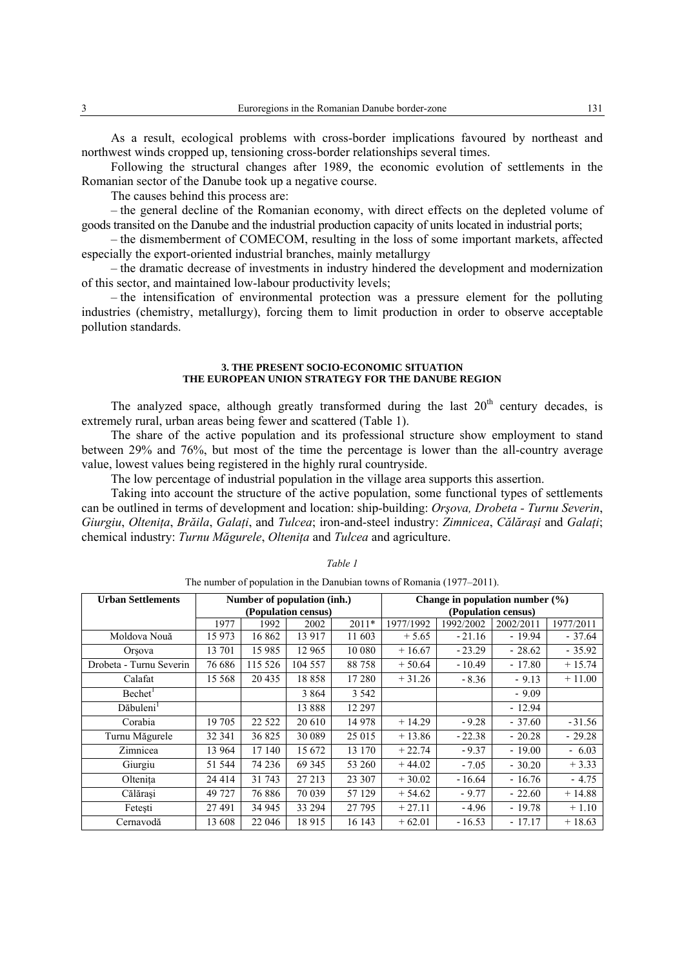As a result, ecological problems with cross-border implications favoured by northeast and northwest winds cropped up, tensioning cross-border relationships several times.

Following the structural changes after 1989, the economic evolution of settlements in the Romanian sector of the Danube took up a negative course.

The causes behind this process are:

– the general decline of the Romanian economy, with direct effects on the depleted volume of goods transited on the Danube and the industrial production capacity of units located in industrial ports;

– the dismemberment of COMECOM, resulting in the loss of some important markets, affected especially the export-oriented industrial branches, mainly metallurgy

– the dramatic decrease of investments in industry hindered the development and modernization of this sector, and maintained low-labour productivity levels;

– the intensification of environmental protection was a pressure element for the polluting industries (chemistry, metallurgy), forcing them to limit production in order to observe acceptable pollution standards.

#### **3. THE PRESENT SOCIO-ECONOMIC SITUATION THE EUROPEAN UNION STRATEGY FOR THE DANUBE REGION**

The analyzed space, although greatly transformed during the last  $20<sup>th</sup>$  century decades, is extremely rural, urban areas being fewer and scattered (Table 1).

The share of the active population and its professional structure show employment to stand between 29% and 76%, but most of the time the percentage is lower than the all-country average value, lowest values being registered in the highly rural countryside.

The low percentage of industrial population in the village area supports this assertion.

Taking into account the structure of the active population, some functional types of settlements can be outlined in terms of development and location: ship-building: *Orşova, Drobeta - Turnu Severin*, Giurgiu, Oltenita, Brăila, Galati, and Tulcea; iron-and-steel industry: Zimnicea, Călărasi and Galati; chemical industry: *Turnu Măgurele*, *Olteniţa* and *Tulcea* and agriculture.

| <b>Urban Settlements</b> | Number of population (inh.) |         |         |         | Change in population number $(\% )$ |           |           |           |
|--------------------------|-----------------------------|---------|---------|---------|-------------------------------------|-----------|-----------|-----------|
|                          | (Population census)         |         |         |         | (Population census)                 |           |           |           |
|                          | 1977                        | 1992    | 2002    | $2011*$ | 1977/1992                           | 1992/2002 | 2002/2011 | 1977/2011 |
| Moldova Nouă             | 15 973                      | 16 862  | 13917   | 11 603  | $+5.65$                             | $-21.16$  | $-19.94$  | $-37.64$  |
| Orsova                   | 13 701                      | 15 9 85 | 12 965  | 10 080  | $+16.67$                            | $-23.29$  | $-28.62$  | $-35.92$  |
| Drobeta - Turnu Severin  | 76 686                      | 115 526 | 104 557 | 88758   | $+50.64$                            | $-10.49$  | $-17.80$  | $+15.74$  |
| Calafat                  | 15 5 68                     | 20 4 35 | 18858   | 17 280  | $+31.26$                            | $-8.36$   | $-9.13$   | $+11.00$  |
| Bechet <sup>1</sup>      |                             |         | 3 8 6 4 | 3 5 4 2 |                                     |           | $-9.09$   |           |
| Dăbuleni <sup>1</sup>    |                             |         | 13888   | 12 297  |                                     |           | $-12.94$  |           |
| Corabia                  | 19 705                      | 22 5 22 | 20 610  | 14 978  | $+14.29$                            | $-9.28$   | $-37.60$  | $-31.56$  |
| Turnu Măgurele           | 32 341                      | 36 825  | 30 089  | 25 015  | $+13.86$                            | $-22.38$  | $-20.28$  | $-29.28$  |
| Zimnicea                 | 13 964                      | 17 140  | 15 672  | 13 170  | $+22.74$                            | $-9.37$   | $-19.00$  | $-6.03$   |
| Giurgiu                  | 51 544                      | 74 236  | 69 345  | 53 260  | $+44.02$                            | $-7.05$   | $-30.20$  | $+3.33$   |
| Oltenita                 | 24 4 14                     | 31 743  | 27 213  | 23 307  | $+30.02$                            | $-16.64$  | $-16.76$  | $-4.75$   |
| Călărasi                 | 49 727                      | 76 886  | 70 039  | 57 129  | $+54.62$                            | $-9.77$   | $-22.60$  | $+14.88$  |
| Fetesti                  | 27491                       | 34 945  | 33 294  | 27 795  | $+27.11$                            | $-4.96$   | $-19.78$  | $+1.10$   |
| Cernavodă                | 13 608                      | 22 046  | 18915   | 16 143  | $+62.01$                            | $-16.53$  | $-17.17$  | $+18.63$  |

*Table 1* 

The number of population in the Danubian towns of Romania (1977–2011).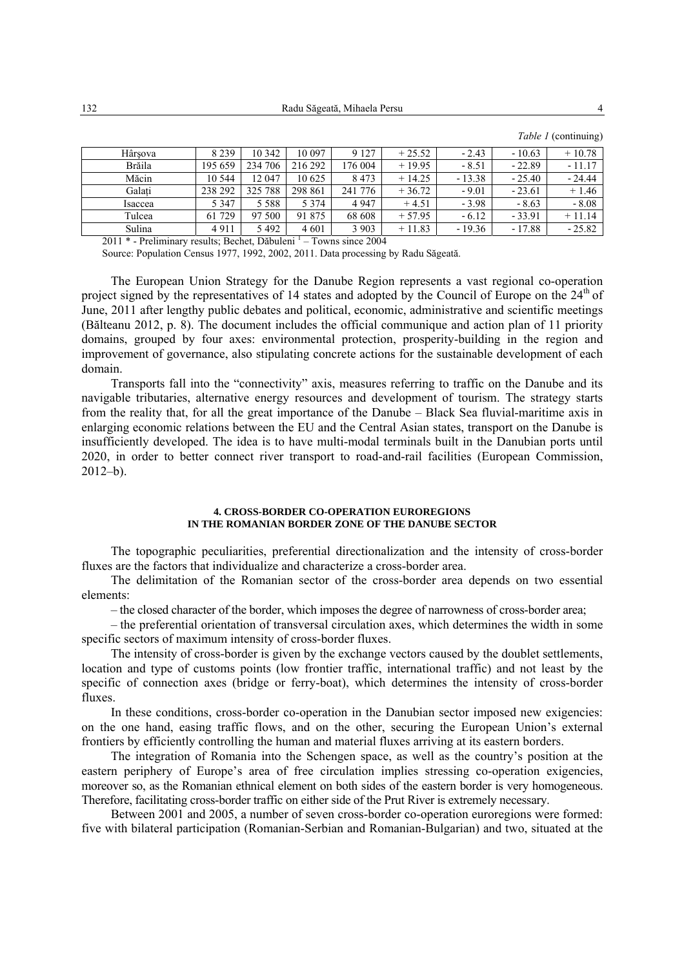| Hârsova                                                             | 8 2 3 9 | 10 342  | 10 097  | 9 1 2 7 | $+25.52$ | $-2.43$  | $-10.63$ | $+10.78$ |  |
|---------------------------------------------------------------------|---------|---------|---------|---------|----------|----------|----------|----------|--|
| Brăila                                                              | 195 659 | 234 706 | 216 292 | 176 004 | $+19.95$ | $-8.51$  | $-22.89$ | $-11.17$ |  |
| Măcin                                                               | 10 544  | 12 047  | 10 625  | 8 4 7 3 | $+14.25$ | $-13.38$ | $-25.40$ | $-24.44$ |  |
| Galati                                                              | 238 292 | 325 788 | 298 861 | 241 776 | $+36.72$ | $-9.01$  | $-23.61$ | $+1.46$  |  |
| Isaccea                                                             | 5 3 4 7 | 5 5 8 8 | 5 3 7 4 | 4 9 4 7 | $+4.51$  | $-3.98$  | $-8.63$  | $-8.08$  |  |
| Tulcea                                                              | 61 729  | 97 500  | 91 875  | 68 608  | $+57.95$ | $-6.12$  | $-33.91$ | $+11.14$ |  |
| Sulina                                                              | 4911    | 5492    | 4 6 0 1 | 3 9 0 3 | $+11.83$ | $-19.36$ | $-17.88$ | $-25.82$ |  |
| $T = 10004$<br>$2011 + 2011$ $111 + 1111$ $111 + 2111$ $111 + 2111$ |         |         |         |         |          |          |          |          |  |

*Table 1* (continuing)

2011 \* - Preliminary results; Bechet, Dăbuleni <sup>1</sup> – Towns since 2004

Source: Population Census 1977, 1992, 2002, 2011. Data processing by Radu Săgeată.

The European Union Strategy for the Danube Region represents a vast regional co-operation project signed by the representatives of 14 states and adopted by the Council of Europe on the 24<sup>th</sup> of June, 2011 after lengthy public debates and political, economic, administrative and scientific meetings (Bălteanu 2012, p. 8). The document includes the official communique and action plan of 11 priority domains, grouped by four axes: environmental protection, prosperity-building in the region and improvement of governance, also stipulating concrete actions for the sustainable development of each domain.

Transports fall into the "connectivity" axis, measures referring to traffic on the Danube and its navigable tributaries, alternative energy resources and development of tourism. The strategy starts from the reality that, for all the great importance of the Danube – Black Sea fluvial-maritime axis in enlarging economic relations between the EU and the Central Asian states, transport on the Danube is insufficiently developed. The idea is to have multi-modal terminals built in the Danubian ports until 2020, in order to better connect river transport to road-and-rail facilities (European Commission, 2012–b).

### **4. CROSS-BORDER CO-OPERATION EUROREGIONS IN THE ROMANIAN BORDER ZONE OF THE DANUBE SECTOR**

The topographic peculiarities, preferential directionalization and the intensity of cross-border fluxes are the factors that individualize and characterize a cross-border area.

The delimitation of the Romanian sector of the cross-border area depends on two essential elements:

– the closed character of the border, which imposes the degree of narrowness of cross-border area;

– the preferential orientation of transversal circulation axes, which determines the width in some specific sectors of maximum intensity of cross-border fluxes.

The intensity of cross-border is given by the exchange vectors caused by the doublet settlements, location and type of customs points (low frontier traffic, international traffic) and not least by the specific of connection axes (bridge or ferry-boat), which determines the intensity of cross-border fluxes.

In these conditions, cross-border co-operation in the Danubian sector imposed new exigencies: on the one hand, easing traffic flows, and on the other, securing the European Union's external frontiers by efficiently controlling the human and material fluxes arriving at its eastern borders.

The integration of Romania into the Schengen space, as well as the country's position at the eastern periphery of Europe's area of free circulation implies stressing co-operation exigencies, moreover so, as the Romanian ethnical element on both sides of the eastern border is very homogeneous. Therefore, facilitating cross-border traffic on either side of the Prut River is extremely necessary.

Between 2001 and 2005, a number of seven cross-border co-operation euroregions were formed: five with bilateral participation (Romanian-Serbian and Romanian-Bulgarian) and two, situated at the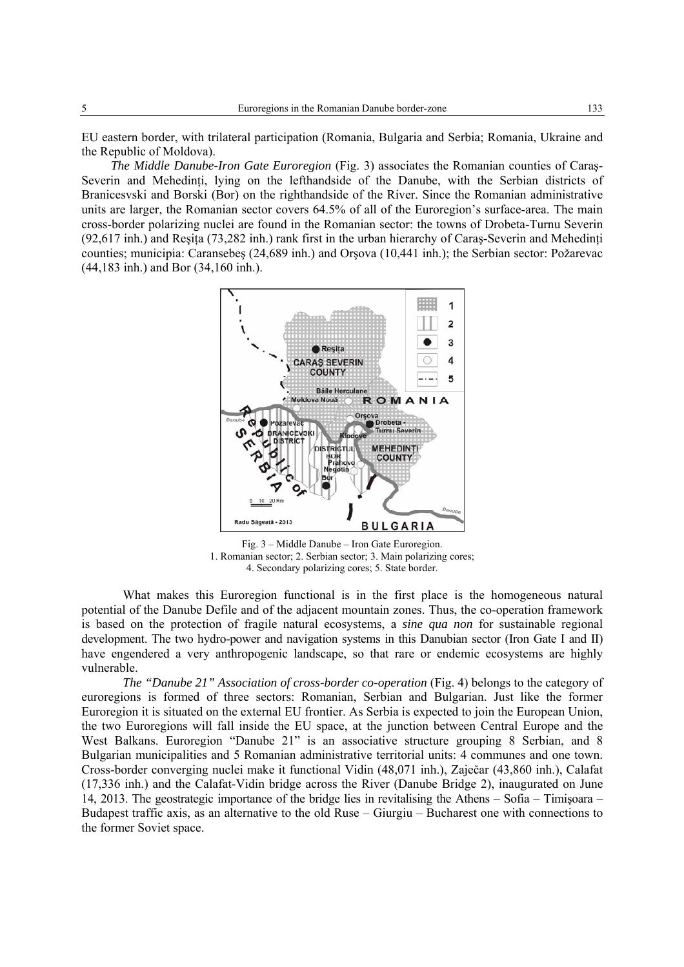EU eastern border, with trilateral participation (Romania, Bulgaria and Serbia; Romania, Ukraine and the Republic of Moldova).

*The Middle Danube-Iron Gate Euroregion* (Fig. 3) associates the Romanian counties of Caraş-Severin and Mehedinti, lying on the lefthandside of the Danube, with the Serbian districts of Branicesvski and Borski (Bor) on the righthandside of the River. Since the Romanian administrative units are larger, the Romanian sector covers 64.5% of all of the Euroregion's surface-area. The main cross-border polarizing nuclei are found in the Romanian sector: the towns of Drobeta-Turnu Severin  $(92,617 \text{ inh})$  and Resita (73,282 inh.) rank first in the urban hierarchy of Caras-Severin and Mehedinti counties; municipia: Caransebeş (24,689 inh.) and Orşova (10,441 inh.); the Serbian sector: Požarevac (44,183 inh.) and Bor (34,160 inh.).



Fig. 3 – Middle Danube – Iron Gate Euroregion. 1. Romanian sector; 2. Serbian sector; 3. Main polarizing cores; 4. Secondary polarizing cores; 5. State border.

What makes this Euroregion functional is in the first place is the homogeneous natural potential of the Danube Defile and of the adjacent mountain zones. Thus, the co-operation framework is based on the protection of fragile natural ecosystems, a *sine qua non* for sustainable regional development. The two hydro-power and navigation systems in this Danubian sector (Iron Gate I and II) have engendered a very anthropogenic landscape, so that rare or endemic ecosystems are highly vulnerable.

*The "Danube 21" Association of cross-border co-operation* (Fig. 4) belongs to the category of euroregions is formed of three sectors: Romanian, Serbian and Bulgarian. Just like the former Euroregion it is situated on the external EU frontier. As Serbia is expected to join the European Union, the two Euroregions will fall inside the EU space, at the junction between Central Europe and the West Balkans. Euroregion "Danube 21" is an associative structure grouping 8 Serbian, and 8 Bulgarian municipalities and 5 Romanian administrative territorial units: 4 communes and one town. Cross-border converging nuclei make it functional Vidin (48,071 inh.), Zaječar (43,860 inh.), Calafat (17,336 inh.) and the Calafat-Vidin bridge across the River (Danube Bridge 2), inaugurated on June 14, 2013. The geostrategic importance of the bridge lies in revitalising the Athens – Sofia – Timişoara – Budapest traffic axis, as an alternative to the old Ruse – Giurgiu – Bucharest one with connections to the former Soviet space.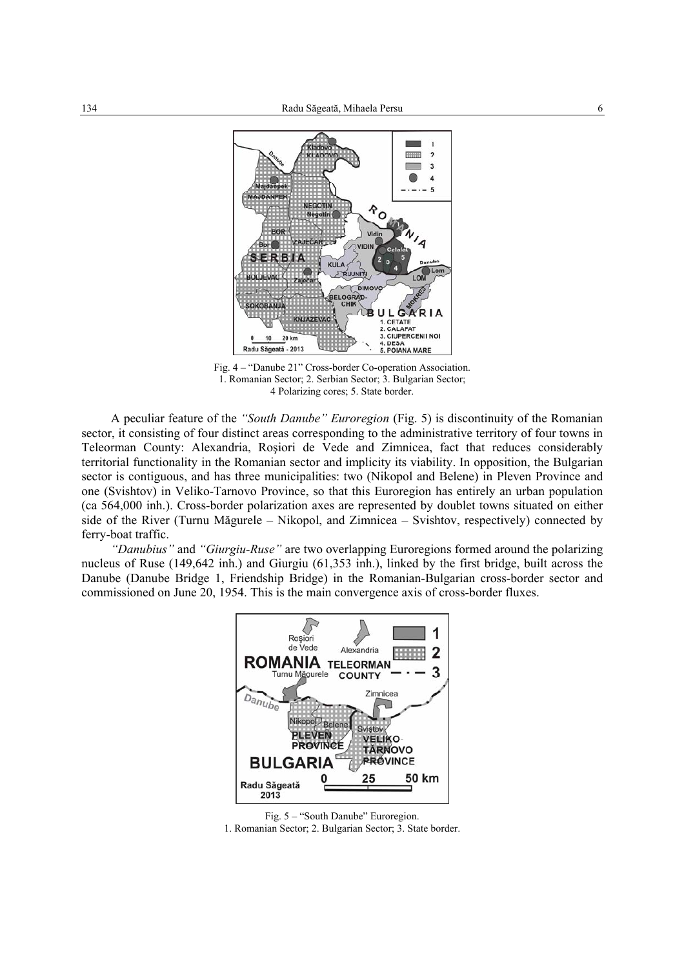

Fig. 4 – "Danube 21" Cross-border Co-operation Association. 1. Romanian Sector; 2. Serbian Sector; 3. Bulgarian Sector; 4 Polarizing cores; 5. State border.

A peculiar feature of the *"South Danube" Euroregion* (Fig. 5) is discontinuity of the Romanian sector, it consisting of four distinct areas corresponding to the administrative territory of four towns in Teleorman County: Alexandria, Roşiori de Vede and Zimnicea, fact that reduces considerably territorial functionality in the Romanian sector and implicity its viability. In opposition, the Bulgarian sector is contiguous, and has three municipalities: two (Nikopol and Belene) in Pleven Province and one (Svishtov) in Veliko-Tarnovo Province, so that this Euroregion has entirely an urban population (ca 564,000 inh.). Cross-border polarization axes are represented by doublet towns situated on either side of the River (Turnu Măgurele – Nikopol, and Zimnicea – Svishtov, respectively) connected by ferry-boat traffic.

*"Danubius"* and *"Giurgiu-Ruse"* are two overlapping Euroregions formed around the polarizing nucleus of Ruse (149,642 inh.) and Giurgiu (61,353 inh.), linked by the first bridge, built across the Danube (Danube Bridge 1, Friendship Bridge) in the Romanian-Bulgarian cross-border sector and commissioned on June 20, 1954. This is the main convergence axis of cross-border fluxes.



Fig. 5 – "South Danube" Euroregion.

1. Romanian Sector; 2. Bulgarian Sector; 3. State border.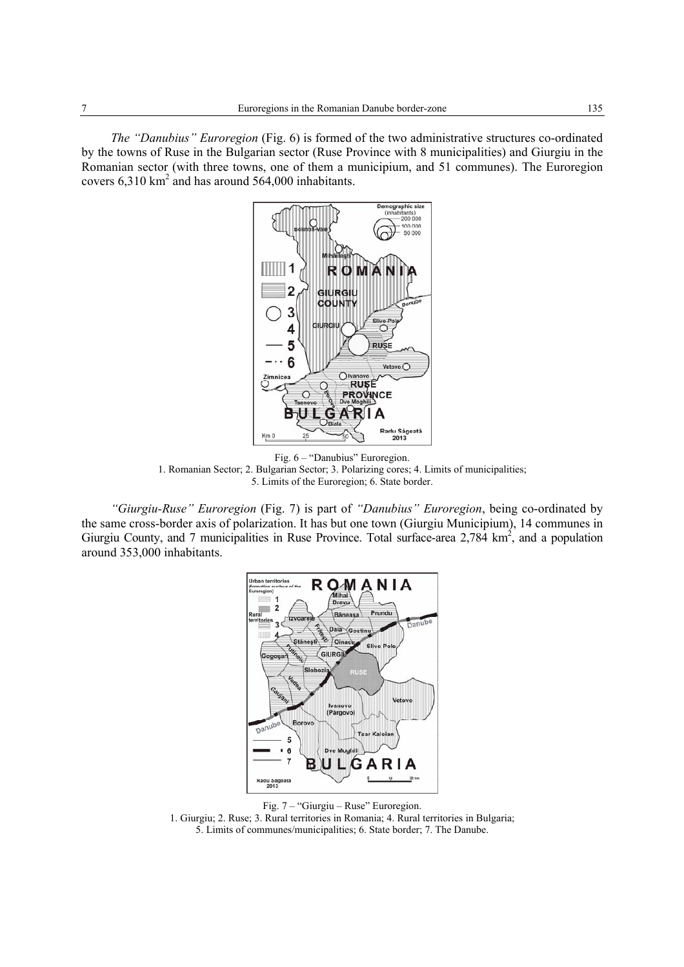*The "Danubius" Euroregion* (Fig. 6) is formed of the two administrative structures co-ordinated by the towns of Ruse in the Bulgarian sector (Ruse Province with 8 municipalities) and Giurgiu in the Romanian sector (with three towns, one of them a municipium, and 51 communes). The Euroregion covers  $6,310 \text{ km}^2$  and has around 564,000 inhabitants.



Fig. 6 – "Danubius" Euroregion. 1. Romanian Sector; 2. Bulgarian Sector; 3. Polarizing cores; 4. Limits of municipalities; 5. Limits of the Euroregion; 6. State border.

*"Giurgiu-Ruse" Euroregion* (Fig. 7) is part of *"Danubius" Euroregion*, being co-ordinated by the same cross-border axis of polarization. It has but one town (Giurgiu Municipium), 14 communes in Giurgiu County, and 7 municipalities in Ruse Province. Total surface-area  $2,784 \text{ km}^2$ , and a population around 353,000 inhabitants.



Fig. 7 – "Giurgiu – Ruse" Euroregion.

1. Giurgiu; 2. Ruse; 3. Rural territories in Romania; 4. Rural territories in Bulgaria; 5. Limits of communes/municipalities; 6. State border; 7. The Danube.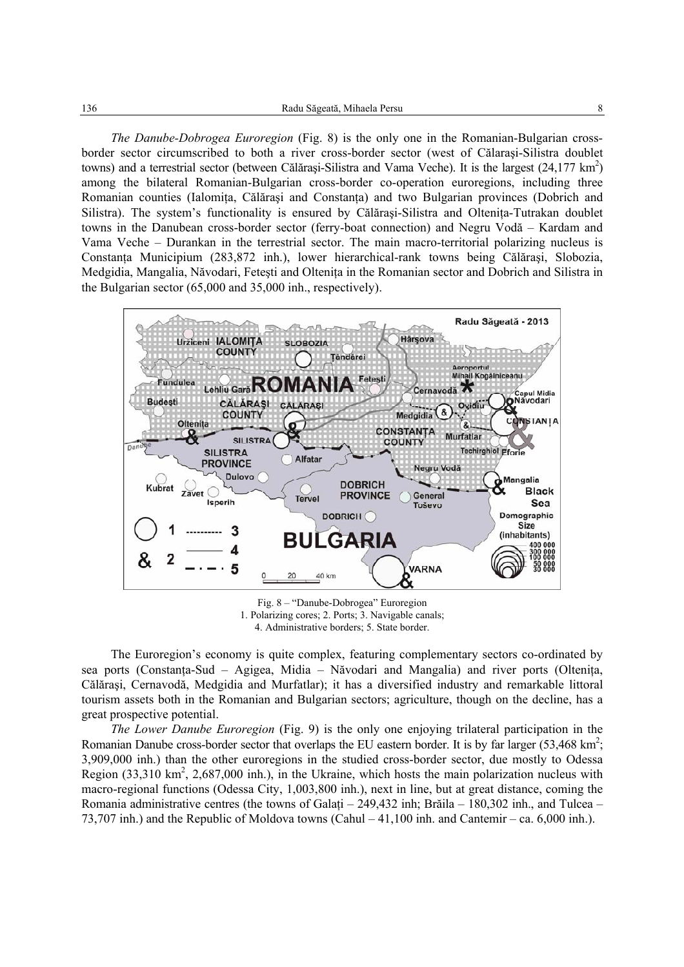*The Danube-Dobrogea Euroregion* (Fig. 8) is the only one in the Romanian-Bulgarian crossborder sector circumscribed to both a river cross-border sector (west of Călaraşi-Silistra doublet towns) and a terrestrial sector (between Călărași-Silistra and Vama Veche). It is the largest  $(24,177 \text{ km}^2)$ among the bilateral Romanian-Bulgarian cross-border co-operation euroregions, including three Romanian counties (Ialomița, Călărași and Constanța) and two Bulgarian provinces (Dobrich and Silistra). The system's functionality is ensured by Călărasi-Silistra and Oltenita-Tutrakan doublet towns in the Danubean cross-border sector (ferry-boat connection) and Negru Vodă – Kardam and Vama Veche – Durankan in the terrestrial sector. The main macro-territorial polarizing nucleus is Constanţa Municipium (283,872 inh.), lower hierarchical-rank towns being Călăraşi, Slobozia, Medgidia, Mangalia, Năvodari, Fetesti and Oltenita in the Romanian sector and Dobrich and Silistra in the Bulgarian sector (65,000 and 35,000 inh., respectively).



Fig. 8 – "Danube-Dobrogea" Euroregion 1. Polarizing cores; 2. Ports; 3. Navigable canals; 4. Administrative borders; 5. State border.

The Euroregion's economy is quite complex, featuring complementary sectors co-ordinated by sea ports (Constanţa-Sud – Agigea, Midia – Năvodari and Mangalia) and river ports (Olteniţa, Călăraşi, Cernavodă, Medgidia and Murfatlar); it has a diversified industry and remarkable littoral tourism assets both in the Romanian and Bulgarian sectors; agriculture, though on the decline, has a great prospective potential.

*The Lower Danube Euroregion* (Fig. 9) is the only one enjoying trilateral participation in the Romanian Danube cross-border sector that overlaps the EU eastern border. It is by far larger  $(53,468 \text{ km}^2;$ 3,909,000 inh.) than the other euroregions in the studied cross-border sector, due mostly to Odessa Region  $(33,310 \text{ km}^2, 2,687,000 \text{ inh})$ , in the Ukraine, which hosts the main polarization nucleus with macro-regional functions (Odessa City, 1,003,800 inh.), next in line, but at great distance, coming the Romania administrative centres (the towns of Galati – 249,432 inh; Brăila – 180,302 inh., and Tulcea – 73,707 inh.) and the Republic of Moldova towns (Cahul – 41,100 inh. and Cantemir – ca. 6,000 inh.).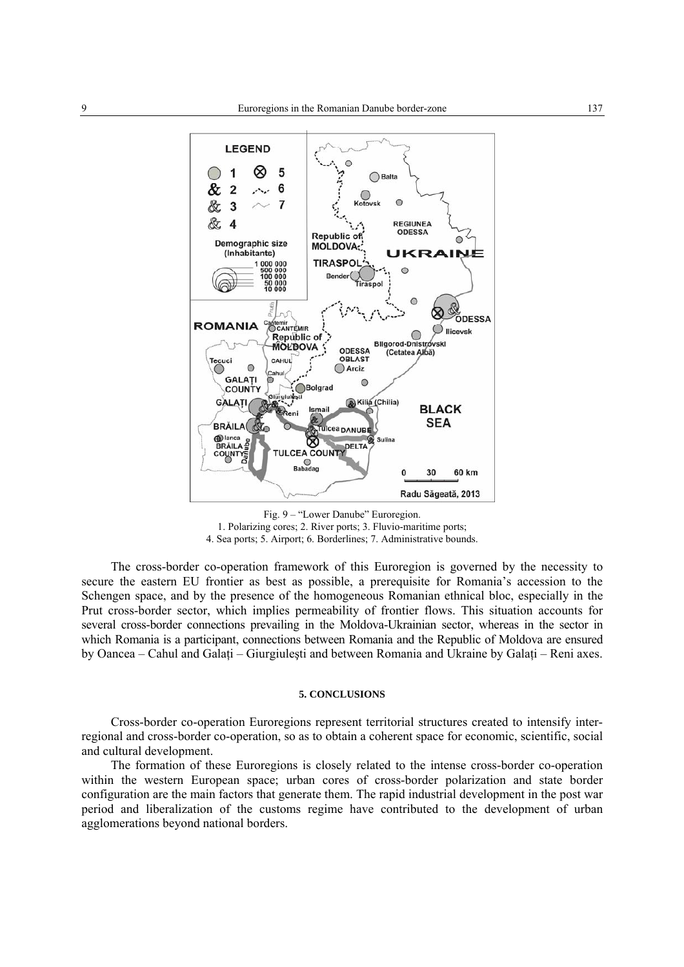

Fig. 9 – "Lower Danube" Euroregion. 1. Polarizing cores; 2. River ports; 3. Fluvio-maritime ports; 4. Sea ports; 5. Airport; 6. Borderlines; 7. Administrative bounds.

The cross-border co-operation framework of this Euroregion is governed by the necessity to secure the eastern EU frontier as best as possible, a prerequisite for Romania's accession to the Schengen space, and by the presence of the homogeneous Romanian ethnical bloc, especially in the Prut cross-border sector, which implies permeability of frontier flows. This situation accounts for several cross-border connections prevailing in the Moldova-Ukrainian sector, whereas in the sector in which Romania is a participant, connections between Romania and the Republic of Moldova are ensured by Oancea – Cahul and Galati – Giurgiulesti and between Romania and Ukraine by Galati – Reni axes.

#### **5. CONCLUSIONS**

Cross-border co-operation Euroregions represent territorial structures created to intensify interregional and cross-border co-operation, so as to obtain a coherent space for economic, scientific, social and cultural development.

The formation of these Euroregions is closely related to the intense cross-border co-operation within the western European space; urban cores of cross-border polarization and state border configuration are the main factors that generate them. The rapid industrial development in the post war period and liberalization of the customs regime have contributed to the development of urban agglomerations beyond national borders.